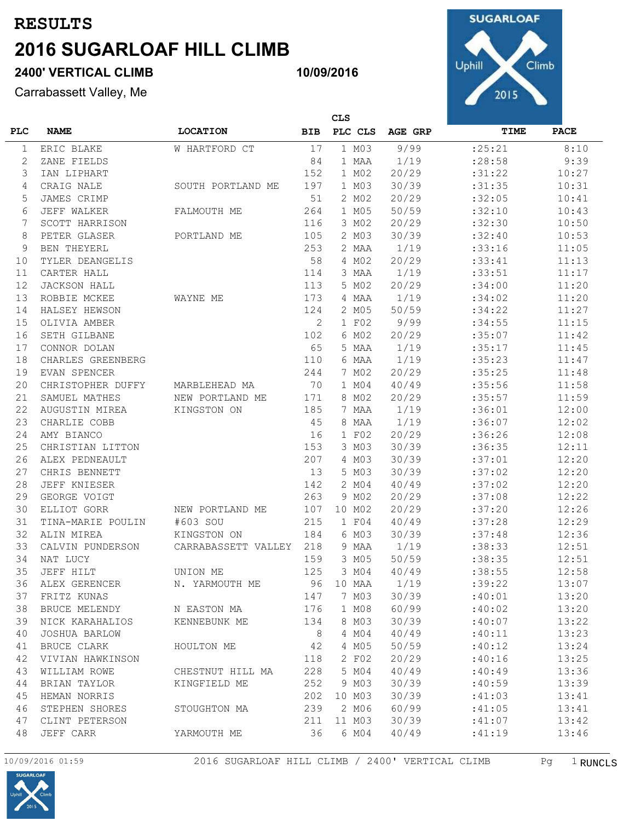# **2400' VERTICAL CLIMB**

Carrabassett Valley, Me



|                | <b>CLS</b>          |                     |            |         |         |          |             |
|----------------|---------------------|---------------------|------------|---------|---------|----------|-------------|
| <b>PLC</b>     | <b>NAME</b>         | <b>LOCATION</b>     | <b>BIB</b> | PLC CLS | AGE GRP | TIME     | <b>PACE</b> |
| 1              | ERIC BLAKE          | W HARTFORD CT       | 17         | 1 M03   | 9/99    | : 25: 21 | 8:10        |
| 2              | ZANE FIELDS         |                     | 84         | 1 MAA   | 1/19    | :28:58   | 9:39        |
| 3              | IAN LIPHART         |                     | 152        | 1 M02   | 20/29   | :31:22   | 10:27       |
| $\overline{4}$ | CRAIG NALE          | SOUTH PORTLAND ME   | 197        | 1 M03   | 30/39   | :31:35   | 10:31       |
| 5              | JAMES CRIMP         |                     | 51         | 2 MO2   | 20/29   | :32:05   | 10:41       |
| 6              | JEFF WALKER         | FALMOUTH ME         | 264        | 1 M05   | 50/59   | :32:10   | 10:43       |
| 7              | SCOTT HARRISON      |                     | 116        | 3 MO2   | 20/29   | :32:30   | 10:50       |
| 8              | PETER GLASER        | PORTLAND ME         | 105        | 2 M03   | 30/39   | :32:40   | 10:53       |
| 9              | <b>BEN THEYERL</b>  |                     | 253        | 2 MAA   | 1/19    | :33:16   | 11:05       |
| 10             | TYLER DEANGELIS     |                     | 58         | 4 MO2   | 20/29   | :33:41   | 11:13       |
| 11             | CARTER HALL         |                     | 114        | 3 MAA   | 1/19    | :33:51   | 11:17       |
| 12             | <b>JACKSON HALL</b> |                     | 113        | 5 MO2   | 20/29   | :34:00   | 11:20       |
| 13             | ROBBIE MCKEE        | WAYNE ME            | 173        | 4 MAA   | 1/19    | :34:02   | 11:20       |
| 14             | HALSEY HEWSON       |                     | 124        | 2 M05   | 50/59   | :34:22   | 11:27       |
| 15             | OLIVIA AMBER        |                     | 2          | 1 F02   | 9/99    | :34:55   | 11:15       |
| 16             | SETH GILBANE        |                     | 102        | 6 MO2   | 20/29   | :35:07   | 11:42       |
| 17             | CONNOR DOLAN        |                     | 65         | 5 MAA   | 1/19    | :35:17   | 11:45       |
| 18             | CHARLES GREENBERG   |                     | 110        | 6 MAA   | 1/19    | :35:23   | 11:47       |
| 19             | EVAN SPENCER        |                     | 244        | 7 MO2   | 20/29   | :35:25   | 11:48       |
| 20             | CHRISTOPHER DUFFY   | MARBLEHEAD MA       | 70         | 1 M04   | 40/49   | :35:56   | 11:58       |
| 21             | SAMUEL MATHES       | NEW PORTLAND ME     | 171        | 8 MO2   | 20/29   | :35:57   | 11:59       |
| 22             | AUGUSTIN MIREA      | KINGSTON ON         | 185        | 7 MAA   | 1/19    | :36:01   | 12:00       |
| 23             | CHARLIE COBB        |                     | 45         | 8 MAA   | 1/19    | :36:07   | 12:02       |
| 24             | AMY BIANCO          |                     | 16         | 1 F02   | 20/29   | :36:26   | 12:08       |
| 25             | CHRISTIAN LITTON    |                     | 153        | 3 M03   | 30/39   | :36:35   | 12:11       |
| 26             | ALEX PEDNEAULT      |                     | 207        | 4 M03   | 30/39   | :37:01   | 12:20       |
| 27             | CHRIS BENNETT       |                     | 13         | 5 M03   | 30/39   | :37:02   | 12:20       |
| 28             | JEFF KNIESER        |                     | 142        | 2 MO4   | 40/49   | :37:02   | 12:20       |
| 29             | GEORGE VOIGT        |                     | 263        | 9 MO2   | 20/29   | :37:08   | 12:22       |
| 30             | ELLIOT GORR         | NEW PORTLAND ME     | 107        | 10 M02  | 20/29   | :37:20   | 12:26       |
| 31             | TINA-MARIE POULIN   | #603 SOU            | 215        | 1 F04   | 40/49   | :37:28   | 12:29       |
| 32             | ALIN MIREA          | KINGSTON ON         | 184        | 6 M03   | 30/39   | :37:48   | 12:36       |
| 33             | CALVIN PUNDERSON    | CARRABASSETT VALLEY | 218        | 9 MAA   | 1/19    | :38:33   | 12:51       |
| 34             | NAT LUCY            |                     | 159        | 3 M05   | 50/59   | :38:35   | 12:51       |
| 35             | JEFF HILT           | UNION ME            | 125        | 3 MO4   | 40/49   | :38:55   | 12:58       |
| 36             | ALEX GERENCER       | N. YARMOUTH ME      | 96         | 10 MAA  | 1/19    | :39:22   | 13:07       |
| 37             | FRITZ KUNAS         |                     | 147        | 7 MO3   | 30/39   | :40:01   | 13:20       |
| 38             | BRUCE MELENDY       | N EASTON MA         | 176        | 1 M08   | 60/99   | :40:02   | 13:20       |
| 39             | NICK KARAHALIOS     | KENNEBUNK ME        | 134        | 8 MO3   | 30/39   | :40:07   | 13:22       |
| 40             | JOSHUA BARLOW       |                     | 8          | 4 MO4   | 40/49   | :40:11   | 13:23       |
| 41             | BRUCE CLARK         | HOULTON ME          | 42         | 4 M05   | 50/59   | :40:12   | 13:24       |
| 42             | VIVIAN HAWKINSON    |                     | 118        | 2 F02   | 20/29   | :40:16   | 13:25       |
| 43             | WILLIAM ROWE        | CHESTNUT HILL MA    | 228        | 5 MO4   | 40/49   | :40:49   | 13:36       |
| 44             | BRIAN TAYLOR        | KINGFIELD ME        | 252        | 9 MO3   | 30/39   | :40:59   | 13:39       |
| 45             | HEMAN NORRIS        |                     | 202        | 10 MO3  | 30/39   | :41:03   | 13:41       |
| 46             | STEPHEN SHORES      | STOUGHTON MA        | 239        | 2 MO6   | 60/99   | :41:05   | 13:41       |
| 47             | CLINT PETERSON      |                     | 211        | 11 M03  | 30/39   | :41:07   | 13:42       |
| 48             | JEFF CARR           | YARMOUTH ME         | 36         | 6 MO4   | 40/49   | :41:19   | 13:46       |

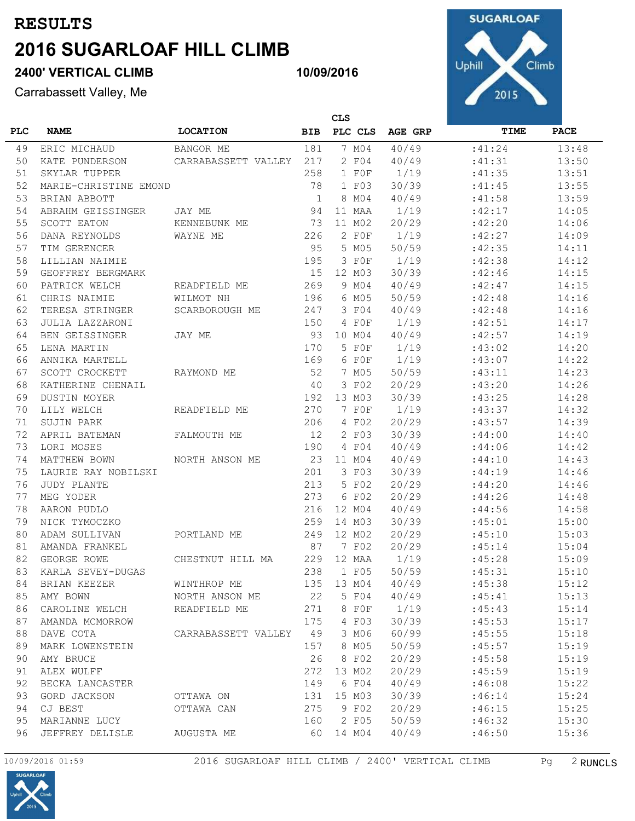# **2400' VERTICAL CLIMB**

Carrabassett Valley, Me



|            | <b>CLS</b>            |                     |              |         |         |         |             |
|------------|-----------------------|---------------------|--------------|---------|---------|---------|-------------|
| <b>PLC</b> | <b>NAME</b>           | <b>LOCATION</b>     | <b>BIB</b>   | PLC CLS | AGE GRP | TIME    | <b>PACE</b> |
| 49         | ERIC MICHAUD          | BANGOR ME           | 181          | 7 MO4   | 40/49   | :41:24  | 13:48       |
| 50         | KATE PUNDERSON        | CARRABASSETT VALLEY | 217          | 2 F04   | 40/49   | :41:31  | 13:50       |
| 51         | SKYLAR TUPPER         |                     | 258          | 1 FOF   | 1/19    | :41:35  | 13:51       |
| 52         | MARIE-CHRISTINE EMOND |                     | 78           | 1 F03   | 30/39   | :41:45  | 13:55       |
| 53         | BRIAN ABBOTT          |                     | $\mathbf{1}$ | 8 MO4   | 40/49   | : 41:58 | 13:59       |
| 54         | ABRAHM GEISSINGER     | JAY ME              | 94           | 11 MAA  | 1/19    | :42:17  | 14:05       |
| 55         | <b>SCOTT EATON</b>    | KENNEBUNK ME        | 73           | 11 M02  | 20/29   | :42:20  | 14:06       |
| 56         | DANA REYNOLDS         | WAYNE ME            | 226          | 2 F0F   | 1/19    | :42:27  | 14:09       |
| 57         | TIM GERENCER          |                     | 95           | 5 M05   | 50/59   | :42:35  | 14:11       |
| 58         | LILLIAN NAIMIE        |                     | 195          | 3 FOF   | 1/19    | :42:38  | 14:12       |
| 59         | GEOFFREY BERGMARK     |                     | 15           | 12 M03  | 30/39   | :42:46  | 14:15       |
| 60         | PATRICK WELCH         | READFIELD ME        | 269          | 9 MO4   | 40/49   | :42:47  | 14:15       |
| 61         | CHRIS NAIMIE          | WILMOT NH           | 196          | 6 M05   | 50/59   | :42:48  | 14:16       |
| 62         | TERESA STRINGER       | SCARBOROUGH ME      | 247          | 3 F04   | 40/49   | :42:48  | 14:16       |
| 63         | JULIA LAZZARONI       |                     | 150          | 4 FOF   | 1/19    | :42:51  | 14:17       |
| 64         | BEN GEISSINGER        | JAY ME              | 93           | 10 MO4  | 40/49   | :42:57  | 14:19       |
| 65         | LENA MARTIN           |                     | 170          | 5 FOF   | 1/19    | :43:02  | 14:20       |
| 66         | ANNIKA MARTELL        |                     | 169          | 6 F0F   | 1/19    | :43:07  | 14:22       |
| 67         | SCOTT CROCKETT        | RAYMOND ME          | 52           | 7 M05   | 50/59   | :43:11  | 14:23       |
| 68         | KATHERINE CHENAIL     |                     | 40           | 3 F02   | 20/29   | :43:20  | 14:26       |
| 69         | <b>DUSTIN MOYER</b>   |                     | 192          | 13 M03  | 30/39   | :43:25  | 14:28       |
| 70         | LILY WELCH            | READFIELD ME        | 270          | 7 F0F   | 1/19    | :43:37  | 14:32       |
| 71         | SUJIN PARK            |                     | 206          | 4 F02   | 20/29   | :43:57  | 14:39       |
| 72         | APRIL BATEMAN         | FALMOUTH ME         | 12           | 2 F03   | 30/39   | :44:00  | 14:40       |
| 73         | LORI MOSES            |                     | 190          | 4 F04   | 40/49   | :44:06  | 14:42       |
| 74         | MATTHEW BOWN          | NORTH ANSON ME      | 23           | 11 M04  | 40/49   | :44:10  | 14:43       |
| 75         | LAURIE RAY NOBILSKI   |                     | 201          | 3 F03   | 30/39   | :44:19  | 14:46       |
| 76         | <b>JUDY PLANTE</b>    |                     | 213          | 5 F02   | 20/29   | :44:20  | 14:46       |
| 77         | MEG YODER             |                     | 273          | 6 F02   | 20/29   | :44:26  | 14:48       |
| 78         | AARON PUDLO           |                     | 216          | 12 M04  | 40/49   | :44:56  | 14:58       |
| 79         | NICK TYMOCZKO         |                     | 259          | 14 M03  | 30/39   | :45:01  | 15:00       |
| 80         | ADAM SULLIVAN         | PORTLAND ME         | 249          | 12 M02  | 20/29   | :45:10  | 15:03       |
| 81         | AMANDA FRANKEL        |                     | 87           | 7 F02   | 20/29   | :45:14  | 15:04       |
| 82         | GEORGE ROWE           | CHESTNUT HILL MA    | 229          | 12 MAA  | 1/19    | :45:28  | 15:09       |
| 83         | KARLA SEVEY-DUGAS     |                     | 238          | 1 F05   | 50/59   | : 45:31 | 15:10       |
| 84         | BRIAN KEEZER          | WINTHROP ME         | 135          | 13 MO4  | 40/49   | :45:38  | 15:12       |
| 85         | AMY BOWN              | NORTH ANSON ME      | 22           | 5 F04   | 40/49   | :45:41  | 15:13       |
| 86         | CAROLINE WELCH        | READFIELD ME        | 271          | 8 F0F   | 1/19    | :45:43  | 15:14       |
| 87         | AMANDA MCMORROW       |                     | 175          | 4 F03   | 30/39   | :45:53  | 15:17       |
| 88         | DAVE COTA             | CARRABASSETT VALLEY | 49           | 3 MO6   | 60/99   | :45:55  | 15:18       |
| 89         | MARK LOWENSTEIN       |                     | 157          | 8 M05   | 50/59   | :45:57  | 15:19       |
| 90         | AMY BRUCE             |                     | 26           | 8 F02   | 20/29   | :45:58  | 15:19       |
| 91         | ALEX WULFF            |                     | 272          | 13 MO2  | 20/29   | :45:59  | 15:19       |
| 92         | BECKA LANCASTER       |                     | 149          | 6 F04   | 40/49   | :46:08  | 15:22       |
| 93         | GORD JACKSON          | OTTAWA ON           | 131          | 15 M03  | 30/39   | :46:14  | 15:24       |
| 94         | CJ BEST               | OTTAWA CAN          | 275          | 9 F02   | 20/29   | :46:15  | 15:25       |
| 95         | MARIANNE LUCY         |                     | 160          | 2 F05   | 50/59   | :46:32  | 15:30       |
| 96         | JEFFREY DELISLE       | AUGUSTA ME          | 60           | 14 MO4  | 40/49   | :46:50  | 15:36       |
|            |                       |                     |              |         |         |         |             |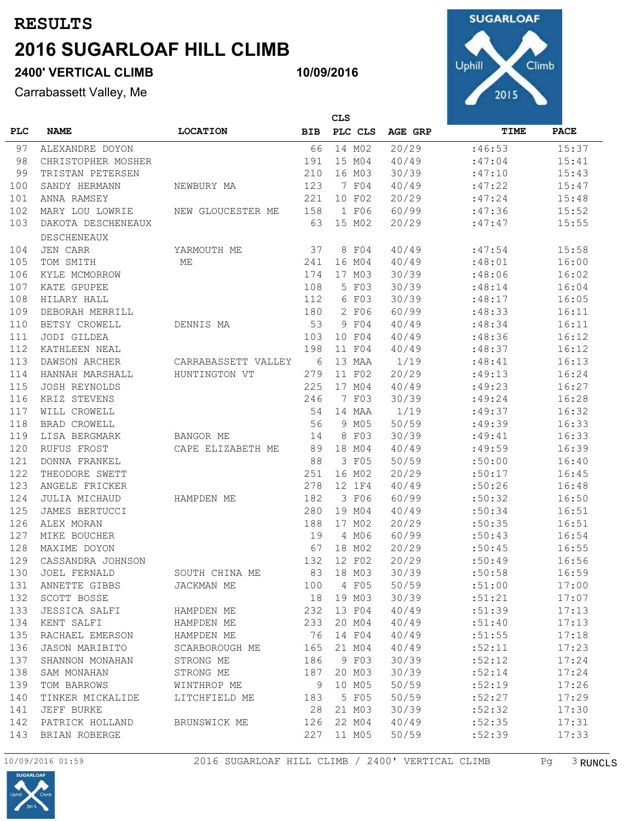# **2400' VERTICAL CLIMB**

Carrabassett Valley, Me



|            |                      |                     |            | <b>CLS</b> |         |        |             |  |
|------------|----------------------|---------------------|------------|------------|---------|--------|-------------|--|
| <b>PLC</b> | <b>NAME</b>          | <b>LOCATION</b>     | <b>BIB</b> | PLC CLS    | AGE GRP | TIME   | <b>PACE</b> |  |
| 97         | ALEXANDRE DOYON      |                     | 66         | 14 M02     | 20/29   | :46:53 | 15:37       |  |
| 98         | CHRISTOPHER MOSHER   |                     | 191        | 15 M04     | 40/49   | :47:04 | 15:41       |  |
| 99         | TRISTAN PETERSEN     |                     | 210        | 16 M03     | 30/39   | :47:10 | 15:43       |  |
| 100        | SANDY HERMANN        | NEWBURY MA          | 123        | 7 F04      | 40/49   | :47:22 | 15:47       |  |
| 101        | ANNA RAMSEY          |                     | 221        | 10 F02     | 20/29   | :47:24 | 15:48       |  |
| 102        | MARY LOU LOWRIE      | NEW GLOUCESTER ME   | 158        | 1 F06      | 60/99   | :47:36 | 15:52       |  |
| 103        | DAKOTA DESCHENEAUX   |                     | 63         | 15 MO2     | 20/29   | :47:47 | 15:55       |  |
|            | <b>DESCHENEAUX</b>   |                     |            |            |         |        |             |  |
| 104        | <b>JEN CARR</b>      | YARMOUTH ME         | 37         | 8 F04      | 40/49   | :47:54 | 15:58       |  |
| 105        | TOM SMITH            | МE                  | 241        | 16 M04     | 40/49   | :48:01 | 16:00       |  |
| 106        | KYLE MCMORROW        |                     | 174        | 17 M03     | 30/39   | :48:06 | 16:02       |  |
| 107        | KATE GPUPEE          |                     | 108        | 5 F03      | 30/39   | :48:14 | 16:04       |  |
| 108        | HILARY HALL          |                     | 112        | 6 F03      | 30/39   | :48:17 | 16:05       |  |
| 109        | DEBORAH MERRILL      |                     | 180        | 2 F06      | 60/99   | :48:33 | 16:11       |  |
| 110        | BETSY CROWELL        | DENNIS MA           | 53         | 9 F04      | 40/49   | :48:34 | 16:11       |  |
| 111        | JODI GILDEA          |                     | 103        | 10 F04     | 40/49   | :48:36 | 16:12       |  |
| 112        | KATHLEEN NEAL        |                     | 198        | 11 F04     | 40/49   | :48:37 | 16:12       |  |
| 113        | DAWSON ARCHER        | CARRABASSETT VALLEY | 6          | 13 MAA     | 1/19    | :48:41 | 16:13       |  |
| 114        | HANNAH MARSHALL      | HUNTINGTON VT       | 279        | 11 F02     | 20/29   | :49:13 | 16:24       |  |
| 115        | <b>JOSH REYNOLDS</b> |                     | 225        | 17 M04     | 40/49   | :49:23 | 16:27       |  |
| 116        | KRIZ STEVENS         |                     | 246        | 7 F03      | 30/39   | :49:24 | 16:28       |  |
| 117        | WILL CROWELL         |                     | 54         | 14 MAA     | 1/19    | :49:37 | 16:32       |  |
| 118        | <b>BRAD CROWELL</b>  |                     | 56         | 9 M05      | 50/59   | :49:39 | 16:33       |  |
| 119        | LISA BERGMARK        | BANGOR ME           | 14         | 8 F03      | 30/39   | :49:41 | 16:33       |  |
| 120        | RUFUS FROST          | CAPE ELIZABETH ME   | 89         | 18 M04     | 40/49   | :49:59 | 16:39       |  |
| 121        | DONNA FRANKEL        |                     | 88         | 3 F05      | 50/59   | :50:00 | 16:40       |  |
| 122        | THEODORE SWETT       |                     | 251        | 16 M02     | 20/29   | :50:17 | 16:45       |  |
| 123        | ANGELE FRICKER       |                     | 278        | 12 1F4     | 40/49   | :50:26 | 16:48       |  |
| 124        | JULIA MICHAUD        | HAMPDEN ME          | 182        | 3 F06      | 60/99   | :50:32 | 16:50       |  |
| 125        | JAMES BERTUCCI       |                     | 280        | 19 MO4     | 40/49   | :50:34 | 16:51       |  |
| 126        | ALEX MORAN           |                     | 188        | 17 M02     | 20/29   | :50:35 | 16:51       |  |
| 127        | MIKE BOUCHER         |                     | 19         | 4 MO6      | 60/99   | :50:43 | 16:54       |  |
| 128        | MAXIME DOYON         |                     | 67         | 18 M02     | 20/29   | :50:45 | 16:55       |  |
| 129        | CASSANDRA JOHNSON    |                     | 132        | 12 F02     | 20/29   | :50:49 | 16:56       |  |
| 130        | <b>JOEL FERNALD</b>  | SOUTH CHINA ME      | 83         | 18 M03     | 30/39   | :50:58 | 16:59       |  |
| 131        | ANNETTE GIBBS        | JACKMAN ME          | 100        | 4 F05      | 50/59   | :51:00 | 17:00       |  |
| 132        | SCOTT BOSSE          |                     | 18         | 19 MO3     | 30/39   | :51:21 | 17:07       |  |
| 133        | JESSICA SALFI        | HAMPDEN ME          | 232        | 13 F04     | 40/49   | :51:39 | 17:13       |  |
| 134        | KENT SALFI           | HAMPDEN ME          | 233        | 20 MO4     | 40/49   | :51:40 | 17:13       |  |
| 135        | RACHAEL EMERSON      | HAMPDEN ME          | 76         | 14 F04     | 40/49   | :51:55 | 17:18       |  |
| 136        | JASON MARIBITO       | SCARBOROUGH ME      | 165        | 21 M04     | 40/49   | :52:11 | 17:23       |  |
| 137        | SHANNON MONAHAN      | STRONG ME           | 186        | 9 F03      | 30/39   | :52:12 | 17:24       |  |
| 138        | SAM MONAHAN          | STRONG ME           | 187        | 20 M03     | 30/39   | :52:14 | 17:24       |  |
| 139        | TOM BARROWS          | WINTHROP ME         | 9          | 10 M05     | 50/59   | :52:19 | 17:26       |  |
| 140        | TINKER MICKALIDE     | LITCHFIELD ME       | 183        | 5 F05      | 50/59   | :52:27 | 17:29       |  |
| 141        | JEFF BURKE           |                     | 28         | 21 M03     | 30/39   | :52:32 | 17:30       |  |
| 142        | PATRICK HOLLAND      | BRUNSWICK ME        | 126        | 22 M04     | 40/49   | :52:35 | 17:31       |  |
| 143        | BRIAN ROBERGE        |                     | 227        | 11 M05     | 50/59   | :52:39 | 17:33       |  |



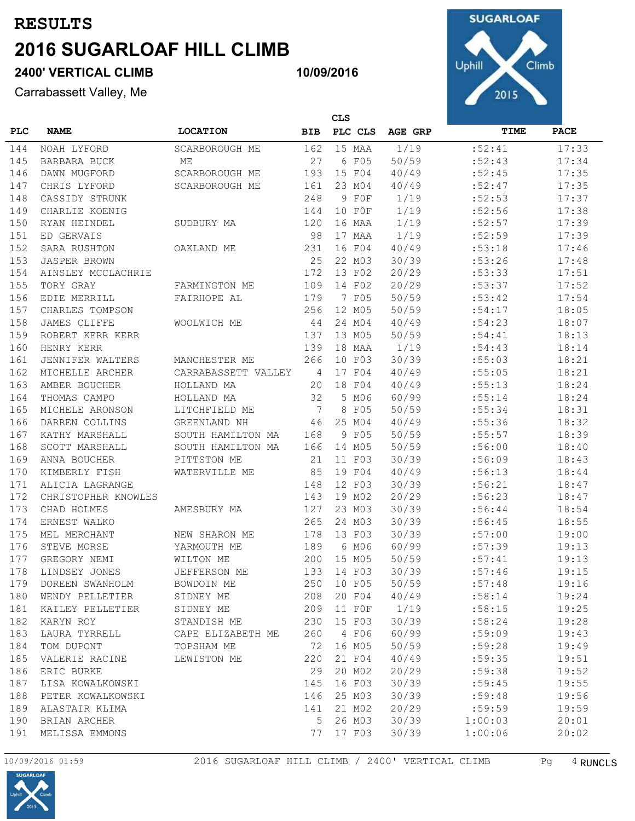# **2400' VERTICAL CLIMB**

Carrabassett Valley, Me



|            | CLS                 |                       |            |          |         |         |             |
|------------|---------------------|-----------------------|------------|----------|---------|---------|-------------|
| <b>PLC</b> | <b>NAME</b>         | <b>LOCATION</b>       | <b>BIB</b> | PLC CLS  | AGE GRP | TIME    | <b>PACE</b> |
| 144        | NOAH LYFORD         | <b>SCARBOROUGH ME</b> | 162        | 15 MAA   | 1/19    | :52:41  | 17:33       |
| 145        | BARBARA BUCK        | МE                    | 27         | 6 F05    | 50/59   | :52:43  | 17:34       |
| 146        | DAWN MUGFORD        | SCARBOROUGH ME        | 193        | 15 F04   | 40/49   | :52:45  | 17:35       |
| 147        | CHRIS LYFORD        | SCARBOROUGH ME        | 161        | 23 M04   | 40/49   | :52:47  | 17:35       |
| 148        | CASSIDY STRUNK      |                       | 248        | 9 F0F    | 1/19    | :52:53  | 17:37       |
| 149        | CHARLIE KOENIG      |                       | 144        | 10 FOF   | 1/19    | :52:56  | 17:38       |
| 150        | RYAN HEINDEL        | SUDBURY MA            | 120        | 16 MAA   | 1/19    | :52:57  | 17:39       |
| 151        | ED GERVAIS          |                       | 98         | 17 MAA   | 1/19    | :52:59  | 17:39       |
| 152        | SARA RUSHTON        | OAKLAND ME            | 231        | 16 F04   | 40/49   | :53:18  | 17:46       |
| 153        | <b>JASPER BROWN</b> |                       | 25         | 22 M03   | 30/39   | :53:26  | 17:48       |
| 154        | AINSLEY MCCLACHRIE  |                       | 172        | 13 F02   | 20/29   | :53:33  | 17:51       |
| 155        | TORY GRAY           | FARMINGTON ME         | 109        | 14 F02   | 20/29   | :53:37  | 17:52       |
| 156        | EDIE MERRILL        | FAIRHOPE AL           | 179        | 7 F05    | 50/59   | :53:42  | 17:54       |
| 157        | CHARLES TOMPSON     |                       | 256        | 12 M05   | 50/59   | :54:17  | 18:05       |
| 158        | JAMES CLIFFE        | WOOLWICH ME           | 44         | 24 M04   | 40/49   | :54:23  | 18:07       |
| 159        | ROBERT KERR KERR    |                       | 137        | 13 M05   | 50/59   | :54:41  | 18:13       |
| 160        | HENRY KERR          |                       | 139        | 18 MAA   | 1/19    | :54:43  | 18:14       |
| 161        | JENNIFER WALTERS    | MANCHESTER ME         | 266        | 10 F03   | 30/39   | :55:03  | 18:21       |
| 162        | MICHELLE ARCHER     | CARRABASSETT VALLEY   | 4          | 17 F04   | 40/49   | :55:05  | 18:21       |
| 163        | AMBER BOUCHER       | HOLLAND MA            | 20         | 18 F04   | 40/49   | :55:13  | 18:24       |
| 164        | THOMAS CAMPO        | HOLLAND MA            | 32         | 5 MO6    | 60/99   | :55:14  | 18:24       |
| 165        | MICHELE ARONSON     | LITCHFIELD ME         | 7          | 8<br>F05 | 50/59   | : 55:34 | 18:31       |
| 166        | DARREN COLLINS      | GREENLAND NH          | 46         | 25 M04   | 40/49   | :55:36  | 18:32       |
| 167        | KATHY MARSHALL      | SOUTH HAMILTON MA     | 168        | 9 F05    | 50/59   | :55:57  | 18:39       |
| 168        | SCOTT MARSHALL      | SOUTH HAMILTON MA     | 166        | 14 M05   | 50/59   | :56:00  | 18:40       |
| 169        | ANNA BOUCHER        | PITTSTON ME           | 21         | 11 F03   | 30/39   | :56:09  | 18:43       |
| 170        | KIMBERLY FISH       | WATERVILLE ME         | 85         | 19 F04   | 40/49   | :56:13  | 18:44       |
| 171        | ALICIA LAGRANGE     |                       | 148        | 12 F03   | 30/39   | :56:21  | 18:47       |
| 172        | CHRISTOPHER KNOWLES |                       | 143        | 19 MO2   | 20/29   | :56:23  | 18:47       |
| 173        | CHAD HOLMES         | AMESBURY MA           | 127        | 23 M03   | 30/39   | :56:44  | 18:54       |
| 174        | ERNEST WALKO        |                       | 265        | 24 M03   | 30/39   | :56:45  | 18:55       |
| 175        | MEL MERCHANT        | NEW SHARON ME         | 178        | 13 F03   | 30/39   | :57:00  | 19:00       |
| 176        | STEVE MORSE         | YARMOUTH ME           | 189        | 6 MO6    | 60/99   | :57:39  | 19:13       |
| 177        | GREGORY NEMI        | WILTON ME             | 200        | 15 M05   | 50/59   | :57:41  | 19:13       |
| 178        | LINDSEY JONES       | JEFFERSON ME          | 133        | 14 F03   | 30/39   | :57:46  | 19:15       |
| 179        | DOREEN SWANHOLM     | BOWDOIN ME            | 250        | 10 F05   | 50/59   | :57:48  | 19:16       |
| 180        | WENDY PELLETIER     | SIDNEY ME             | 208        | 20 F04   | 40/49   | :58:14  | 19:24       |
| 181        | KAILEY PELLETIER    | SIDNEY ME             | 209        | 11 FOF   | 1/19    | :58:15  | 19:25       |
| 182        | KARYN ROY           | STANDISH ME           | 230        | 15 F03   | 30/39   | :58:24  | 19:28       |
| 183        | LAURA TYRRELL       | CAPE ELIZABETH ME     | 260        | 4 F06    | 60/99   | :59:09  | 19:43       |
| 184        | TOM DUPONT          | TOPSHAM ME            | 72         | 16 M05   | 50/59   | :59:28  | 19:49       |
| 185        | VALERIE RACINE      | LEWISTON ME           | 220        | 21 F04   | 40/49   | :59:35  | 19:51       |
| 186        | ERIC BURKE          |                       | 29         | 20 MO2   | 20/29   | :59:38  | 19:52       |
| 187        | LISA KOWALKOWSKI    |                       | 145        | 16 F03   | 30/39   | :59:45  | 19:55       |
| 188        | PETER KOWALKOWSKI   |                       | 146        | 25 M03   | 30/39   | :59:48  | 19:56       |
| 189        | ALASTAIR KLIMA      |                       | 141        | 21 M02   | 20/29   | :59:59  | 19:59       |
| 190        | BRIAN ARCHER        |                       | 5          | 26 M03   | 30/39   | 1:00:03 | 20:01       |
| 191        | MELISSA EMMONS      |                       | 77         | 17 F03   | 30/39   | 1:00:06 | 20:02       |

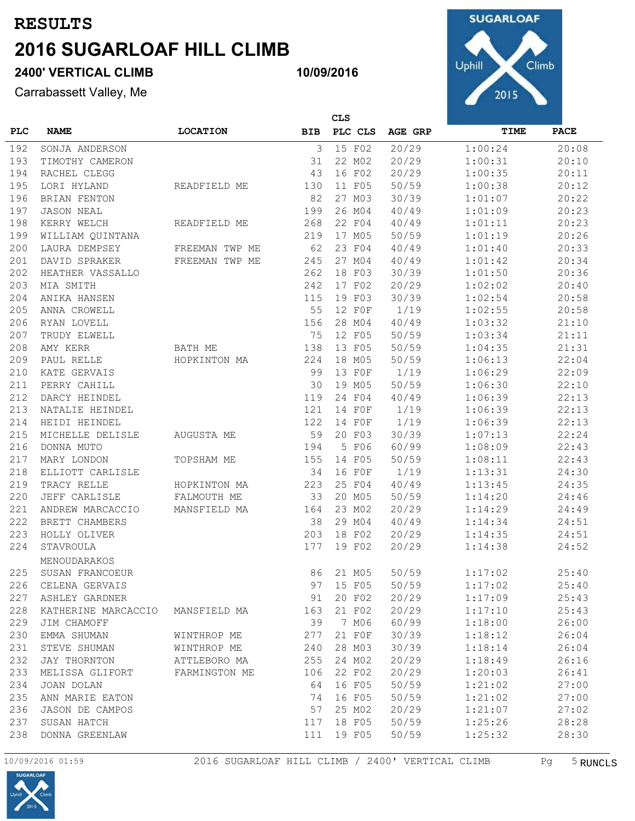# **2400' VERTICAL CLIMB**

Carrabassett Valley, Me



|            | <b>CLS</b>          |                 |            |         |         |         |             |
|------------|---------------------|-----------------|------------|---------|---------|---------|-------------|
| <b>PLC</b> | <b>NAME</b>         | <b>LOCATION</b> | <b>BIB</b> | PLC CLS | AGE GRP | TIME    | <b>PACE</b> |
| 192        | SONJA ANDERSON      |                 | 3          | 15 F02  | 20/29   | 1:00:24 | 20:08       |
| 193        | TIMOTHY CAMERON     |                 | 31         | 22 M02  | 20/29   | 1:00:31 | 20:10       |
| 194        | RACHEL CLEGG        |                 | 43         | 16 F02  | 20/29   | 1:00:35 | 20:11       |
| 195        | LORI HYLAND         | READFIELD ME    | 130        | 11 F05  | 50/59   | 1:00:38 | 20:12       |
| 196        | BRIAN FENTON        |                 | 82         | 27 M03  | 30/39   | 1:01:07 | 20:22       |
| 197        | <b>JASON NEAL</b>   |                 | 199        | 26 MO4  | 40/49   | 1:01:09 | 20:23       |
| 198        | KERRY WELCH         | READFIELD ME    | 268        | 22 F04  | 40/49   | 1:01:11 | 20:23       |
| 199        | WILLIAM QUINTANA    |                 | 219        | 17 M05  | 50/59   | 1:01:19 | 20:26       |
| 200        | LAURA DEMPSEY       | FREEMAN TWP ME  | 62         | 23 F04  | 40/49   | 1:01:40 | 20:33       |
| 201        | DAVID SPRAKER       | FREEMAN TWP ME  | 245        | 27 M04  | 40/49   | 1:01:42 | 20:34       |
| 202        | HEATHER VASSALLO    |                 | 262        | 18 F03  | 30/39   | 1:01:50 | 20:36       |
| 203        | MIA SMITH           |                 | 242        | 17 F02  | 20/29   | 1:02:02 | 20:40       |
| 204        | ANIKA HANSEN        |                 | 115        | 19 F03  | 30/39   | 1:02:54 | 20:58       |
| 205        | ANNA CROWELL        |                 | 55         | 12 FOF  | 1/19    | 1:02:55 | 20:58       |
| 206        | RYAN LOVELL         |                 | 156        | 28 M04  | 40/49   | 1:03:32 | 21:10       |
| 207        | TRUDY ELWELL        |                 | 75         | 12 F05  | 50/59   | 1:03:34 | 21:11       |
| 208        | AMY KERR            | BATH ME         | 138        | 13 F05  | 50/59   | 1:04:35 | 21:31       |
| 209        | PAUL RELLE          | HOPKINTON MA    | 224        | 18 M05  | 50/59   | 1:06:13 | 22:04       |
| 210        | KATE GERVAIS        |                 | 99         | 13 FOF  | 1/19    | 1:06:29 | 22:09       |
| 211        | PERRY CAHILL        |                 | 30         | 19 M05  | 50/59   | 1:06:30 | 22:10       |
| 212        | DARCY HEINDEL       |                 | 119        | 24 F04  | 40/49   | 1:06:39 | 22:13       |
| 213        | NATALIE HEINDEL     |                 | 121        | 14 FOF  | 1/19    | 1:06:39 | 22:13       |
| 214        | HEIDI HEINDEL       |                 | 122        | 14 FOF  | 1/19    | 1:06:39 | 22:13       |
| 215        | MICHELLE DELISLE    | AUGUSTA ME      | 59         | 20 F03  | 30/39   | 1:07:13 | 22:24       |
| 216        | DONNA MUTO          |                 | 194        | 5 F06   | 60/99   | 1:08:09 | 22:43       |
| 217        | MARY LONDON         | TOPSHAM ME      | 155        | 14 F05  | 50/59   | 1:08:11 | 22:43       |
| 218        | ELLIOTT CARLISLE    |                 | 34         | 16 FOF  | 1/19    | 1:13:31 | 24:30       |
| 219        | TRACY RELLE         | HOPKINTON MA    | 223        | 25 F04  | 40/49   | 1:13:45 | 24:35       |
| 220        | JEFF CARLISLE       | FALMOUTH ME     | 33         | 20 M05  | 50/59   | 1:14:20 | 24:46       |
| 221        | ANDREW MARCACCIO    | MANSFIELD MA    | 164        | 23 M02  | 20/29   | 1:14:29 | 24:49       |
| 222        | BRETT CHAMBERS      |                 | 38         | 29 M04  | 40/49   | 1:14:34 | 24:51       |
| 223        | HOLLY OLIVER        |                 | 203        | 18 F02  | 20/29   | 1:14:35 | 24:51       |
| 224        | STAVROULA           |                 | 177        | 19 F02  | 20/29   | 1:14:38 | 24:52       |
|            | MENOUDARAKOS        |                 |            |         |         |         |             |
| 225        | SUSAN FRANCOEUR     |                 | 86         | 21 M05  | 50/59   | 1:17:02 | 25:40       |
| 226        | CELENA GERVAIS      |                 | 97         | 15 F05  | 50/59   | 1:17:02 | 25:40       |
| 227        | ASHLEY GARDNER      |                 | 91         | 20 F02  | 20/29   | 1:17:09 | 25:43       |
| 228        | KATHERINE MARCACCIO | MANSFIELD MA    | 163        | 21 F02  | 20/29   | 1:17:10 | 25:43       |
| 229        | JIM CHAMOFF         |                 | 39         | 7 MO6   | 60/99   | 1:18:00 | 26:00       |
| 230        | EMMA SHUMAN         | WINTHROP ME     | 277        | 21 FOF  | 30/39   | 1:18:12 | 26:04       |
| 231        | STEVE SHUMAN        | WINTHROP ME     | 240        | 28 M03  | 30/39   | 1:18:14 | 26:04       |
| 232        | JAY THORNTON        | ATTLEBORO MA    | 255        | 24 M02  | 20/29   | 1:18:49 | 26:16       |
| 233        | MELISSA GLIFORT     | FARMINGTON ME   | 106        | 22 F02  | 20/29   | 1:20:03 | 26:41       |
| 234        | JOAN DOLAN          |                 | 64         | 16 F05  | 50/59   | 1:21:02 | 27:00       |
| 235        | ANN MARIE EATON     |                 | 74         | 16 F05  | 50/59   | 1:21:02 | 27:00       |
| 236        | JASON DE CAMPOS     |                 | 57         | 25 M02  | 20/29   | 1:21:07 | 27:02       |
| 237        | SUSAN HATCH         |                 | 117        | 18 F05  | 50/59   | 1:25:26 | 28:28       |
| 238        | DONNA GREENLAW      |                 | 111        | 19 F05  | 50/59   | 1:25:32 | 28:30       |
|            |                     |                 |            |         |         |         |             |

**10/09/2016**

10/09/2016 01:59 2016 SUGARLOAF HILL CLIMB / 2400' VERTICAL CLIMB Pg 5 RUNCLS

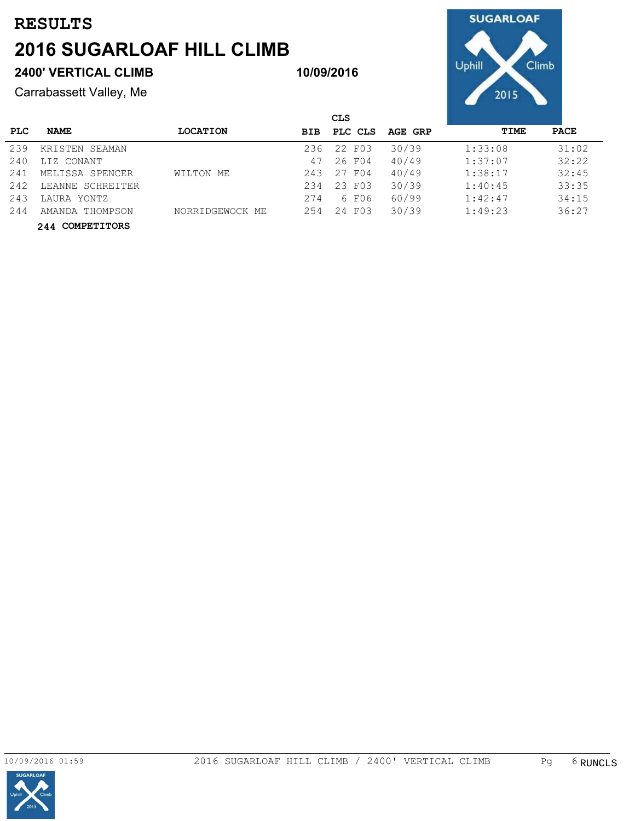### **2400' VERTICAL CLIMB**

Carrabassett Valley, Me



|      |                  |                 |            | <b>CLS</b> |         |         |             |
|------|------------------|-----------------|------------|------------|---------|---------|-------------|
| PLC. | <b>NAME</b>      | <b>LOCATION</b> | <b>BIB</b> | PLC CLS    | AGE GRP | TIME    | <b>PACE</b> |
| 239  | KRISTEN SEAMAN   |                 | 236        | 22 F03     | 30/39   | 1:33:08 | 31:02       |
| 240  | LIZ CONANT       |                 | 47         | 26 F04     | 40/49   | 1:37:07 | 32:22       |
| 241  | MELISSA SPENCER  | WILTON ME       | 243        | 27 F04     | 40/49   | 1:38:17 | 32:45       |
| 242  | LEANNE SCHREITER |                 | 234        | 23 F03     | 30/39   | 1:40:45 | 33:35       |
| 243  | LAURA YONTZ      |                 | 274        | 6 F06      | 60/99   | 1:42:47 | 34:15       |
| 244  | AMANDA THOMPSON  | NORRIDGEWOCK ME | 254        | 24 F03     | 30/39   | 1:49:23 | 36:27       |
|      | 244 COMPETITORS  |                 |            |            |         |         |             |

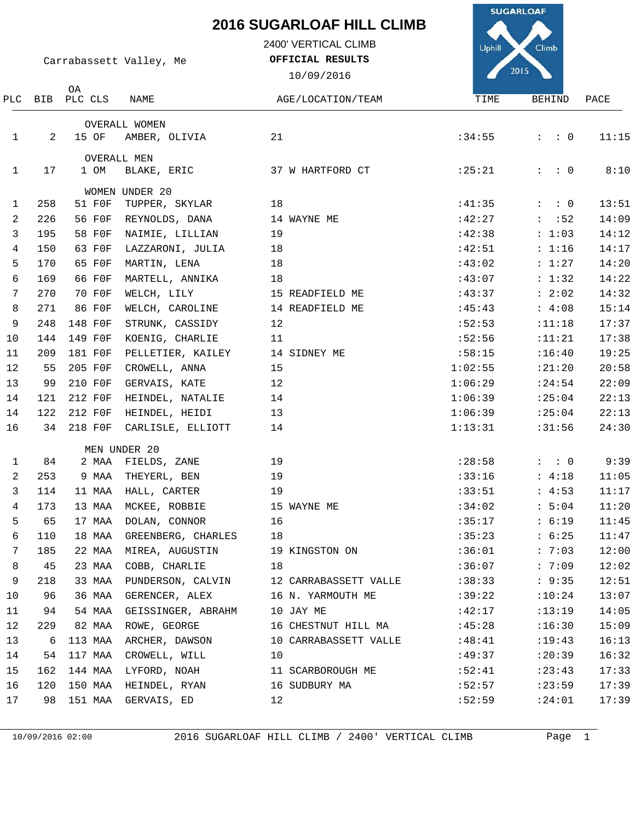2400' VERTICAL CLIMB

**OFFICIAL RESULTS**



Carrabassett Valley, Me

OA

10/09/2016 AGE/LOCATION/TEAM TIME

| PLC          |     | BIB PLC CLS | NAME                 | AGE/LOCATION/TEAM     | TIME    | BEHIND              | PACE  |
|--------------|-----|-------------|----------------------|-----------------------|---------|---------------------|-------|
|              |     |             | <b>OVERALL WOMEN</b> |                       |         |                     |       |
| $\mathbf{1}$ | 2   | 15 OF       | AMBER, OLIVIA        | 21                    | :34:55  | $\colon$ $\colon$ 0 | 11:15 |
|              |     |             | <b>OVERALL MEN</b>   |                       |         |                     |       |
| 1            | 17  | 1 OM        | BLAKE, ERIC          | 37 W HARTFORD CT      | :25:21  | $: \quad : \quad 0$ | 8:10  |
|              |     |             | WOMEN UNDER 20       |                       |         |                     |       |
| 1            | 258 | 51 F0F      | TUPPER, SKYLAR       | 18                    | :41:35  | $: \quad : \quad 0$ | 13:51 |
| 2            | 226 | 56 F0F      | REYNOLDS, DANA       | 14 WAYNE ME           | :42:27  | $\colon$ $:52$      | 14:09 |
| 3            | 195 | 58 F0F      | NAIMIE, LILLIAN      | 19                    | :42:38  | : 1:03              | 14:12 |
| 4            | 150 | 63 FOF      | LAZZARONI, JULIA     | 18                    | :42:51  | : 1:16              | 14:17 |
| 5            | 170 | 65 F0F      | MARTIN, LENA         | 18                    | :43:02  | : 1:27              | 14:20 |
| 6            | 169 | 66 F0F      | MARTELL, ANNIKA      | 18                    | :43:07  | : 1:32              | 14:22 |
| 7            | 270 | 70 F0F      | WELCH, LILY          | 15 READFIELD ME       | :43:37  | : 2:02              | 14:32 |
| 8            | 271 | 86 F0F      | WELCH, CAROLINE      | 14 READFIELD ME       | :45:43  | : 4:08              | 15:14 |
| 9            | 248 | 148 F0F     | STRUNK, CASSIDY      | 12                    | :52:53  | :11:18              | 17:37 |
| 10           | 144 | 149 F0F     | KOENIG, CHARLIE      | 11                    | :52:56  | :11:21              | 17:38 |
| 11           | 209 | 181 F0F     | PELLETIER, KAILEY    | 14 SIDNEY ME          | :58:15  | :16:40              | 19:25 |
| 12           | 55  | 205 F0F     | CROWELL, ANNA        | 15                    | 1:02:55 | :21:20              | 20:58 |
| 13           | 99  | 210 F0F     | GERVAIS, KATE        | 12                    | 1:06:29 | : 24:54             | 22:09 |
| 14           | 121 | 212 FOF     | HEINDEL, NATALIE     | 14                    | 1:06:39 | : 25:04             | 22:13 |
| 14           | 122 | 212 F0F     | HEINDEL, HEIDI       | 13                    | 1:06:39 | : 25:04             | 22:13 |
| 16           | 34  | 218 F0F     | CARLISLE, ELLIOTT    | 14                    | 1:13:31 | :31:56              | 24:30 |
|              |     |             | MEN UNDER 20         |                       |         |                     |       |
| $\mathbf{1}$ | 84  | 2 MAA       | FIELDS, ZANE         | 19                    | : 28:58 | $: \quad : \quad 0$ | 9:39  |
| 2            | 253 | 9 MAA       | THEYERL, BEN         | 19                    | :33:16  | : 4:18              | 11:05 |
| $\mathbf{3}$ | 114 | 11 MAA      | HALL, CARTER         | 19                    | :33:51  | : 4:53              | 11:17 |
| 4            | 173 | 13 MAA      | MCKEE, ROBBIE        | 15 WAYNE ME           | :34:02  | : 5:04              | 11:20 |
| 5            | 65  | 17 MAA      | DOLAN, CONNOR        | 16                    | :35:17  | : 6:19              | 11:45 |
| 6            | 110 | 18 MAA      | GREENBERG, CHARLES   | 18                    | :35:23  | : 6:25              | 11:47 |
| 7            | 185 | 22 MAA      | MIREA, AUGUSTIN      | 19 KINGSTON ON        | :36:01  | : 7:03              | 12:00 |
| 8            | 45  | 23 MAA      | COBB, CHARLIE        | 18                    | :36:07  | : 7:09              | 12:02 |
| 9            | 218 | 33 MAA      | PUNDERSON, CALVIN    | 12 CARRABASSETT VALLE | :38:33  | : 9:35              | 12:51 |
| 10           | 96  | 36 MAA      | GERENCER, ALEX       | 16 N. YARMOUTH ME     | :39:22  | :10:24              | 13:07 |
| 11           | 94  | 54 MAA      | GEISSINGER, ABRAHM   | 10 JAY ME             | :42:17  | :13:19              | 14:05 |
| 12           | 229 | 82 MAA      | ROWE, GEORGE         | 16 CHESTNUT HILL MA   | :45:28  | :16:30              | 15:09 |
| 13           | 6   | 113 MAA     | ARCHER, DAWSON       | 10 CARRABASSETT VALLE | :48:41  | :19:43              | 16:13 |
| 14           | 54  | 117 MAA     | CROWELL, WILL        | 10                    | :49:37  | : 20:39             | 16:32 |
| 15           | 162 | 144 MAA     | LYFORD, NOAH         | 11 SCARBOROUGH ME     | :52:41  | : 23:43             | 17:33 |
| 16           | 120 | 150 MAA     | HEINDEL, RYAN        | 16 SUDBURY MA         | :52:57  | : 23:59             | 17:39 |
| 17           | 98  | 151 MAA     | GERVAIS, ED          | 12                    | :52:59  | : 24:01             | 17:39 |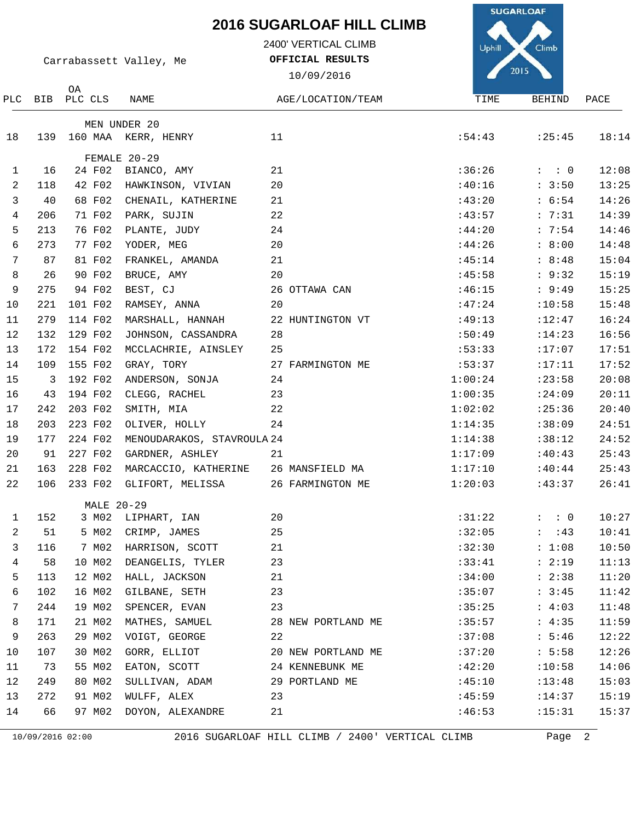2400' VERTICAL CLIMB

**OFFICIAL RESULTS**

**SUGARLOAF** Climb Uphill

|                 |                         |               |                            | 10/09/2016         |         | 2015                |       |
|-----------------|-------------------------|---------------|----------------------------|--------------------|---------|---------------------|-------|
|                 | PLC BIB                 | OA<br>PLC CLS | NAME                       | AGE/LOCATION/TEAM  | TIME    | BEHIND              | PACE  |
|                 |                         |               | MEN UNDER 20               |                    |         |                     |       |
| 18              | 139                     |               | 160 MAA KERR, HENRY        | 11                 | :54:43  | : 25:45             | 18:14 |
|                 |                         |               | FEMALE 20-29               |                    |         |                     |       |
| $\mathbf{1}$    | 16                      | 24 F02        | BIANCO, AMY                | 21                 | :36:26  | $: \quad : \quad 0$ | 12:08 |
| 2               | 118                     | 42 F02        | HAWKINSON, VIVIAN          | 20                 | :40:16  | : 3:50              | 13:25 |
| 3               | 40                      | 68 F02        | CHENAIL, KATHERINE         | 21                 | :43:20  | : 6:54              | 14:26 |
| $\overline{4}$  | 206                     | 71 F02        | PARK, SUJIN                | 22                 | :43:57  | : 7:31              | 14:39 |
| 5               | 213                     | 76 F02        | PLANTE, JUDY               | 24                 | :44:20  | : 7:54              | 14:46 |
| 6               | 273                     | 77 F02        | YODER, MEG                 | 20                 | :44:26  | : 8:00              | 14:48 |
| $7\phantom{.0}$ | 87                      | 81 F02        | FRANKEL, AMANDA            | 21                 | :45:14  | : 8:48              | 15:04 |
| 8               | 26                      | 90 F02        | BRUCE, AMY                 | 20                 | :45:58  | : 9:32              | 15:19 |
| 9               | 275                     | 94 F02        | BEST, CJ                   | 26 OTTAWA CAN      | :46:15  | : 9:49              | 15:25 |
| 10              | 221                     | 101 F02       | RAMSEY, ANNA               | 20                 | :47:24  | :10:58              | 15:48 |
| 11              | 279                     | 114 F02       | MARSHALL, HANNAH           | 22 HUNTINGTON VT   | :49:13  | :12:47              | 16:24 |
| 12              | 132                     | 129 F02       | JOHNSON, CASSANDRA         | 28                 | :50:49  | :14:23              | 16:56 |
| 13              | 172                     | 154 F02       | MCCLACHRIE, AINSLEY        | 25                 | :53:33  | :17:07              | 17:51 |
| 14              | 109                     | 155 F02       | GRAY, TORY                 | 27 FARMINGTON ME   | :53:37  | :17:11              | 17:52 |
| 15              | $\overline{\mathbf{3}}$ | 192 F02       | ANDERSON, SONJA            | 24                 | 1:00:24 | : 23:58             | 20:08 |
| 16              | 43                      | 194 F02       | CLEGG, RACHEL              | 23                 | 1:00:35 | :24:09              | 20:11 |
| 17              | 242                     | 203 F02       | SMITH, MIA                 | 22                 | 1:02:02 | :25:36              | 20:40 |
| 18              | 203                     | 223 F02       | OLIVER, HOLLY              | 24                 | 1:14:35 | :38:09              | 24:51 |
| 19              | 177                     | 224 F02       | MENOUDARAKOS, STAVROULA 24 |                    | 1:14:38 | :38:12              | 24:52 |
| 20              | 91                      | 227 F02       | GARDNER, ASHLEY            | 21                 | 1:17:09 | :40:43              | 25:43 |
| 21              | 163                     | 228 F02       | MARCACCIO, KATHERINE       | 26 MANSFIELD MA    | 1:17:10 | :40:44              | 25:43 |
| 22              | 106                     | 233 F02       | GLIFORT, MELISSA           | 26 FARMINGTON ME   | 1:20:03 | :43:37              | 26:41 |
|                 |                         |               | MALE 20-29                 |                    |         |                     |       |
| $\mathbf{1}$    | 152                     |               | 3 M02 LIPHART, IAN         | 20                 | :31:22  | $\colon$ $\colon$ 0 | 10:27 |
| $\mathbf{2}$    | 51                      |               | 5 M02 CRIMP, JAMES         | 25                 |         | $:32:05$ : :43      | 10:41 |
| 3               | 116                     | 7 MO2         | HARRISON, SCOTT            | 21                 | :32:30  | : 1:08              | 10:50 |
| 4               | 58                      | 10 MO2        | DEANGELIS, TYLER           | 23                 | :33:41  | : 2:19              | 11:13 |
| 5               | 113                     | 12 MO2        | HALL, JACKSON              | 21                 | :34:00  | : 2:38              | 11:20 |
| 6               | 102                     | 16 MO2        | GILBANE, SETH              | 23                 | :35:07  | : 3:45              | 11:42 |
| 7               | 244                     | 19 MO2        | SPENCER, EVAN              | 23                 | :35:25  | : 4:03              | 11:48 |
| 8               | 171                     | 21 MO2        | MATHES, SAMUEL             | 28 NEW PORTLAND ME | :35:57  | : 4:35              | 11:59 |
| 9               | 263                     | 29 MO2        | VOIGT, GEORGE              | 22                 | :37:08  | : 5:46              | 12:22 |
| 10              | 107                     | 30 MO2        | GORR, ELLIOT               | 20 NEW PORTLAND ME | :37:20  | : 5:58              | 12:26 |
| 11              | 73                      | 55 MO2        | EATON, SCOTT               | 24 KENNEBUNK ME    | :42:20  | :10:58              | 14:06 |
| 12              | 249                     | 80 MO2        | SULLIVAN, ADAM             | 29 PORTLAND ME     | :45:10  | : 13:48             | 15:03 |
| 13              | 272                     | 91 M02        | WULFF, ALEX                | 23                 | :45:59  | : 14:37             | 15:19 |
| 14              | 66                      | 97 MO2        | DOYON, ALEXANDRE           | 21                 | :46:53  | :15:31              | 15:37 |

Carrabassett Valley, Me

10/09/2016 02:00 2016 SUGARLOAF HILL CLIMB / 2400' VERTICAL CLIMB Page 2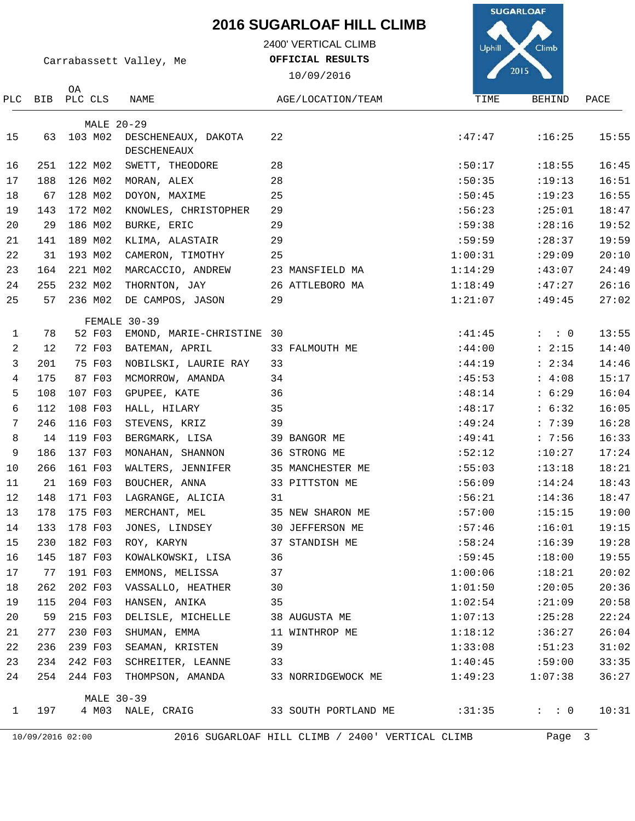2400' VERTICAL CLIMB

**OFFICIAL RESULTS**

**SUGARLOAF** Uphill Climb

|                |     |                  | Carrabassett Valley, Me            | OFFICIAL RESULTS                                 |         | 2015                |       |
|----------------|-----|------------------|------------------------------------|--------------------------------------------------|---------|---------------------|-------|
|                |     | 0A               |                                    | 10/09/2016                                       |         |                     |       |
|                |     | PLC BIB PLC CLS  | NAME                               | AGE/LOCATION/TEAM                                | TIME    | BEHIND              | PACE  |
|                |     |                  | <b>MALE 20-29</b>                  |                                                  |         |                     |       |
| 15             | 63  | 103 MO2          | DESCHENEAUX, DAKOTA<br>DESCHENEAUX | 22                                               | :47:47  | :16:25              | 15:55 |
| 16             | 251 | 122 MO2          | SWETT, THEODORE                    | 28                                               | :50:17  | :18:55              | 16:45 |
| 17             | 188 | 126 MO2          | MORAN, ALEX                        | 28                                               | :50:35  | :19:13              | 16:51 |
| 18             | 67  | 128 M02          | DOYON, MAXIME                      | 25                                               | :50:45  | :19:23              | 16:55 |
| 19             | 143 | 172 MO2          | KNOWLES, CHRISTOPHER               | 29                                               | :56:23  | : 25:01             | 18:47 |
| 20             | 29  | 186 M02          | BURKE, ERIC                        | 29                                               | :59:38  | : 28:16             | 19:52 |
| 21             | 141 | 189 MO2          | KLIMA, ALASTAIR                    | 29                                               | :59:59  | : 28:37             | 19:59 |
| 22             | 31  | 193 M02          | CAMERON, TIMOTHY                   | 25                                               | 1:00:31 | :29:09              | 20:10 |
| 23             | 164 | 221 M02          | MARCACCIO, ANDREW                  | 23 MANSFIELD MA                                  | 1:14:29 | :43:07              | 24:49 |
| 24             | 255 | 232 MO2          | THORNTON, JAY                      | 26 ATTLEBORO MA                                  | 1:18:49 | :47:27              | 26:16 |
| 25             | 57  | 236 MO2          | DE CAMPOS, JASON                   | 29                                               | 1:21:07 | :49:45              | 27:02 |
|                |     |                  | FEMALE 30-39                       |                                                  |         |                     |       |
| $\mathbf{1}$   | 78  | 52 F03           | EMOND, MARIE-CHRISTINE 30          |                                                  | :41:45  | $: \quad : \quad 0$ | 13:55 |
| 2              | 12  | 72 F03           | BATEMAN, APRIL                     | 33 FALMOUTH ME                                   | :44:00  | : 2:15              | 14:40 |
| 3              | 201 | 75 F03           | NOBILSKI, LAURIE RAY               | 33                                               | :44:19  | : 2:34              | 14:46 |
| $\overline{4}$ | 175 | 87 F03           | MCMORROW, AMANDA                   | 34                                               | :45:53  | : 4:08              | 15:17 |
| 5              | 108 | 107 F03          | GPUPEE, KATE                       | 36                                               | :48:14  | : 6:29              | 16:04 |
| 6              | 112 | 108 F03          | HALL, HILARY                       | 35                                               | :48:17  | : 6:32              | 16:05 |
| 7              | 246 | 116 F03          | STEVENS, KRIZ                      | 39                                               | :49:24  | : 7:39              | 16:28 |
| 8              | 14  | 119 F03          | BERGMARK, LISA                     | 39 BANGOR ME                                     | :49:41  | : 7:56              | 16:33 |
| 9              | 186 | 137 F03          | MONAHAN, SHANNON                   | 36 STRONG ME                                     | :52:12  | :10:27              | 17:24 |
| 10             | 266 | 161 F03          | WALTERS, JENNIFER                  | 35 MANCHESTER ME                                 | :55:03  | :13:18              | 18:21 |
| 11             | 21  | 169 F03          | BOUCHER, ANNA                      | 33 PITTSTON ME                                   | :56:09  | : 14:24             | 18:43 |
| 12             | 148 | 171 F03          | LAGRANGE, ALICIA                   | 31                                               | :56:21  | :14:36              | 18:47 |
| 13             | 178 | 175 F03          | MERCHANT, MEL                      | 35 NEW SHARON ME                                 | :57:00  | :15:15              | 19:00 |
| 14             |     | 133 178 F03      | JONES, LINDSEY                     | 30 JEFFERSON ME                                  | :57:46  | :16:01              | 19:15 |
| 15             | 230 | 182 F03          | ROY, KARYN                         | 37 STANDISH ME                                   | :58:24  | :16:39              | 19:28 |
| 16             | 145 | 187 F03          | KOWALKOWSKI, LISA                  | 36                                               | :59:45  | :18:00              | 19:55 |
| 17             | 77  | 191 F03          | EMMONS, MELISSA                    | 37                                               | 1:00:06 | :18:21              | 20:02 |
| 18             | 262 | 202 F03          | VASSALLO, HEATHER                  | 30                                               | 1:01:50 | :20:05              | 20:36 |
| 19             | 115 | 204 F03          | HANSEN, ANIKA                      | 35                                               | 1:02:54 | :21:09              | 20:58 |
| 20             | 59  | 215 F03          | DELISLE, MICHELLE                  | 38 AUGUSTA ME                                    | 1:07:13 | :25:28              | 22:24 |
| 21             | 277 | 230 F03          | SHUMAN, EMMA                       | 11 WINTHROP ME                                   | 1:18:12 | :36:27              | 26:04 |
| 22             | 236 | 239 F03          | SEAMAN, KRISTEN                    | 39                                               | 1:33:08 | :51:23              | 31:02 |
| 23             | 234 | 242 F03          | SCHREITER, LEANNE                  | 33                                               | 1:40:45 | :59:00              | 33:35 |
| 24             | 254 | 244 F03          | THOMPSON, AMANDA                   | 33 NORRIDGEWOCK ME                               | 1:49:23 | 1:07:38             | 36:27 |
|                |     |                  | <b>MALE 30-39</b>                  |                                                  |         |                     |       |
| $\mathbf{1}$   | 197 |                  | 4 M03 NALE, CRAIG                  | 33 SOUTH PORTLAND ME                             | :31:35  | $: \quad : \quad 0$ | 10:31 |
|                |     | 10/09/2016 02:00 |                                    | 2016 SUGARLOAF HILL CLIMB / 2400' VERTICAL CLIMB |         | Page 3              |       |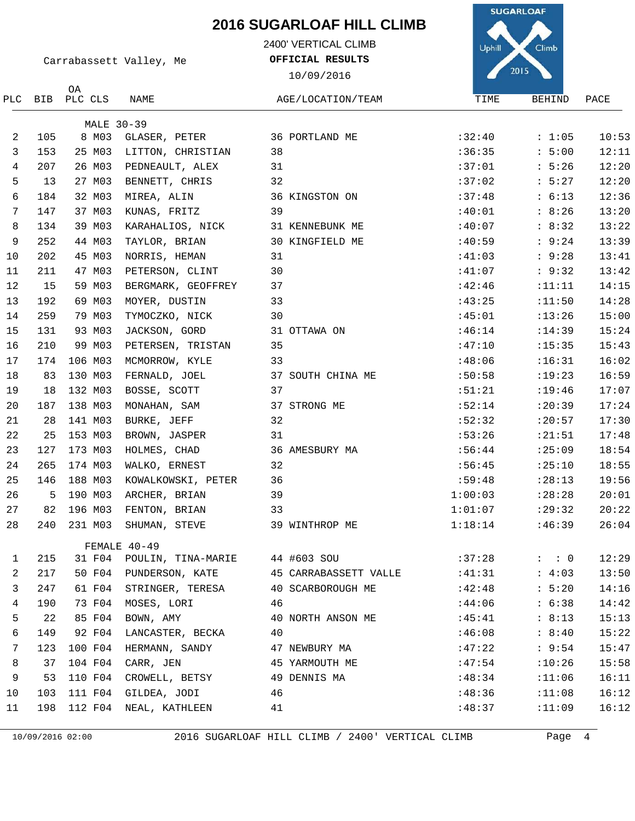2400' VERTICAL CLIMB

**OFFICIAL RESULTS**

**SUGARLOAF** Uphill

|     |     |               |                    | 10/09/2016            |         | 2013                |       |
|-----|-----|---------------|--------------------|-----------------------|---------|---------------------|-------|
| PLC | BIB | ОA<br>PLC CLS | NAME               | AGE/LOCATION/TEAM     | TIME    | BEHIND              | PACE  |
|     |     |               | <b>MALE 30-39</b>  |                       |         |                     |       |
| 2   | 105 | 8 M03         | GLASER, PETER      | 36 PORTLAND ME        | :32:40  | : 1:05              | 10:53 |
| 3   | 153 | 25 MO3        | LITTON, CHRISTIAN  | 38                    | :36:35  | : 5:00              | 12:11 |
| 4   | 207 | 26 M03        | PEDNEAULT, ALEX    | 31                    | :37:01  | : 5:26              | 12:20 |
| 5   | 13  | 27 M03        | BENNETT, CHRIS     | 32                    | :37:02  | : 5:27              | 12:20 |
| 6   | 184 | 32 M03        | MIREA, ALIN        | 36 KINGSTON ON        | :37:48  | : 6:13              | 12:36 |
| 7   | 147 | 37 M03        | KUNAS, FRITZ       | 39                    | :40:01  | : 8:26              | 13:20 |
| 8   | 134 | 39 M03        | KARAHALIOS, NICK   | 31 KENNEBUNK ME       | :40:07  | : 8:32              | 13:22 |
| 9   | 252 | 44 M03        | TAYLOR, BRIAN      | 30 KINGFIELD ME       | :40:59  | : 9:24              | 13:39 |
| 10  | 202 | 45 M03        | NORRIS, HEMAN      | 31                    | :41:03  | : 9:28              | 13:41 |
| 11  | 211 | 47 MO3        | PETERSON, CLINT    | 30                    | :41:07  | : 9:32              | 13:42 |
| 12  | 15  | 59 M03        | BERGMARK, GEOFFREY | 37                    | :42:46  | : 11: 11            | 14:15 |
| 13  | 192 | 69 M03        | MOYER, DUSTIN      | 33                    | :43:25  | :11:50              | 14:28 |
| 14  | 259 | 79 M03        | TYMOCZKO, NICK     | 30                    | :45:01  | :13:26              | 15:00 |
| 15  | 131 | 93 M03        | JACKSON, GORD      | 31 OTTAWA ON          | :46:14  | :14:39              | 15:24 |
| 16  | 210 | 99 M03        | PETERSEN, TRISTAN  | 35                    | :47:10  | :15:35              | 15:43 |
| 17  | 174 | 106 M03       | MCMORROW, KYLE     | 33                    | :48:06  | :16:31              | 16:02 |
| 18  | 83  | 130 M03       | FERNALD, JOEL      | 37 SOUTH CHINA ME     | :50:58  | :19:23              | 16:59 |
| 19  | 18  | 132 M03       | BOSSE, SCOTT       | 37                    | :51:21  | :19:46              | 17:07 |
| 20  | 187 | 138 M03       | MONAHAN, SAM       | 37 STRONG ME          | :52:14  | :20:39              | 17:24 |
| 21  | 28  | 141 M03       | BURKE, JEFF        | 32                    | :52:32  | :20:57              | 17:30 |
| 22  | 25  | 153 M03       | BROWN, JASPER      | 31                    | :53:26  | : 21:51             | 17:48 |
| 23  | 127 | 173 M03       | HOLMES, CHAD       | 36 AMESBURY MA        | :56:44  | :25:09              | 18:54 |
| 24  | 265 | 174 M03       | WALKO, ERNEST      | 32                    | :56:45  | :25:10              | 18:55 |
| 25  | 146 | 188 M03       | KOWALKOWSKI, PETER | 36                    | :59:48  | : 28:13             | 19:56 |
| 26  | 5   | 190 MO3       | ARCHER, BRIAN      | 39                    | 1:00:03 | : 28:28             | 20:01 |
| 27  | 82  | 196 M03       | FENTON, BRIAN      | 33                    | 1:01:07 | : 29:32             | 20:22 |
| 28  | 240 | 231 M03       | SHUMAN, STEVE      | 39 WINTHROP ME        | 1:18:14 | :46:39              | 26:04 |
|     |     |               | FEMALE 40-49       |                       |         |                     |       |
| 1   | 215 | 31 F04        | POULIN, TINA-MARIE | 44 #603 SOU           | :37:28  | $: \quad : \quad 0$ | 12:29 |
| 2   | 217 | 50 F04        | PUNDERSON, KATE    | 45 CARRABASSETT VALLE | :41:31  | : 4:03              | 13:50 |
| 3   | 247 | 61 F04        | STRINGER, TERESA   | 40 SCARBOROUGH ME     | :42:48  | : 5:20              | 14:16 |
| 4   | 190 | 73 F04        | MOSES, LORI        | 46                    | :44:06  | : 6:38              | 14:42 |
| 5   | 22  | 85 F04        | BOWN, AMY          | 40 NORTH ANSON ME     | :45:41  | : 8:13              | 15:13 |
| 6   | 149 | 92 F04        | LANCASTER, BECKA   | 40                    | :46:08  | : 8:40              | 15:22 |
| 7   | 123 | 100 F04       | HERMANN, SANDY     | 47 NEWBURY MA         | :47:22  | : 9:54              | 15:47 |
| 8   | 37  | 104 F04       | CARR, JEN          | 45 YARMOUTH ME        | :47:54  | :10:26              | 15:58 |
| 9   | 53  | 110 F04       | CROWELL, BETSY     | 49 DENNIS MA          | :48:34  | :11:06              | 16:11 |
| 10  | 103 | 111 F04       | GILDEA, JODI       | 46                    | :48:36  | :11:08              | 16:12 |
| 11  | 198 | 112 F04       | NEAL, KATHLEEN     | 41                    | :48:37  | :11:09              | 16:12 |

10/09/2016 02:00 2016 SUGARLOAF HILL CLIMB / 2400' VERTICAL CLIMB Page 4



Carrabassett Valley, Me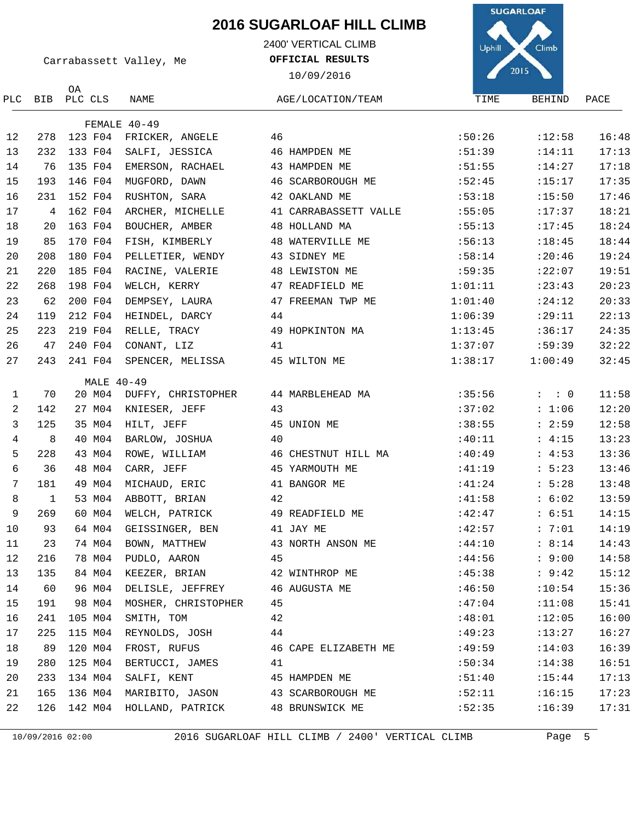2400' VERTICAL CLIMB

**OFFICIAL RESULTS**

10/09/2016

**SUGARLOAF** Uphill Climb  $2015$ AGE/LOCATION/TEAM TIME BEHIND PACE

Carrabassett Valley, Me

PLC BIB PLC CLS OA

| NAME |  |  |  |
|------|--|--|--|

|                 |                |            | FEMALE $40-49$                      |                       |         |                     |       |
|-----------------|----------------|------------|-------------------------------------|-----------------------|---------|---------------------|-------|
| 12              | 278            |            | 123 F04 FRICKER, ANGELE             | 46                    | :50:26  | :12:58              | 16:48 |
| 13              | 232            |            | 133 F04 SALFI, JESSICA              | 46 HAMPDEN ME         | :51:39  | : 14:11             | 17:13 |
| 14              | 76             | 135 F04    | EMERSON, RACHAEL                    | 43 HAMPDEN ME         | :51:55  | :14:27              | 17:18 |
| 15              | 193            | 146 F04    | MUGFORD, DAWN                       | 46 SCARBOROUGH ME     | :52:45  | :15:17              | 17:35 |
| 16              | 231            | 152 F04    | RUSHTON, SARA                       | 42 OAKLAND ME         | :53:18  | :15:50              | 17:46 |
| 17              | 4              | 162 F04    | ARCHER, MICHELLE                    | 41 CARRABASSETT VALLE | :55:05  | :17:37              | 18:21 |
| 18              | 20             | 163 F04    | BOUCHER, AMBER                      | 48 HOLLAND MA         | :55:13  | :17:45              | 18:24 |
| 19              | 85             | 170 F04    | FISH, KIMBERLY                      | 48 WATERVILLE ME      | :56:13  | :18:45              | 18:44 |
| 20              | 208            | 180 F04    | PELLETIER, WENDY                    | 43 SIDNEY ME          | :58:14  | :20:46              | 19:24 |
| 21              | 220            | 185 F04    | RACINE, VALERIE                     | 48 LEWISTON ME        | :59:35  | :22:07              | 19:51 |
| 22              | 268            | 198 F04    | WELCH, KERRY                        | 47 READFIELD ME       | 1:01:11 | : 23:43             | 20:23 |
| 23              | 62             | 200 F04    | DEMPSEY, LAURA                      | 47 FREEMAN TWP ME     | 1:01:40 | :24:12              | 20:33 |
| 24              | 119            | 212 F04    | HEINDEL, DARCY                      | 44                    | 1:06:39 | :29:11              | 22:13 |
| 25              | 223            | 219 F04    | RELLE, TRACY                        | 49 HOPKINTON MA       | 1:13:45 | :36:17              | 24:35 |
| 26              | 47             | 240 F04    | CONANT, LIZ                         | 41                    | 1:37:07 | :59:39              | 32:22 |
| 27              | 243            |            | 241 F04 SPENCER, MELISSA            | 45 WILTON ME          | 1:38:17 | 1:00:49             | 32:45 |
|                 |                | MALE 40-49 |                                     |                       |         |                     |       |
| $\mathbf{1}$    | 70             |            | 20 M04 DUFFY, CHRISTOPHER           | 44 MARBLEHEAD MA      | :35:56  | $\colon$ $\colon$ 0 | 11:58 |
| $\overline{a}$  | 142            | 27 MO4     | KNIESER, JEFF                       | 43                    | :37:02  | : 1:06              | 12:20 |
| $\mathbf{3}$    | 125            | 35 M04     | HILT, JEFF                          | 45 UNION ME           | :38:55  | : 2:59              | 12:58 |
| $\overline{4}$  | 8              | 40 MO4     | BARLOW, JOSHUA                      | 40                    | :40:11  | : 4:15              | 13:23 |
| 5               | 228            | 43 MO4     | ROWE, WILLIAM                       | 46 CHESTNUT HILL MA   | :40:49  | : 4:53              | 13:36 |
| 6               | 36             | 48 M04     | CARR, JEFF                          | 45 YARMOUTH ME        | :41:19  | : 5:23              | 13:46 |
| $7\phantom{.0}$ | 181            | 49 MO4     | MICHAUD, ERIC                       | 41 BANGOR ME          | :41:24  | : 5:28              | 13:48 |
| 8               | $\overline{1}$ | 53 M04     | ABBOTT, BRIAN                       | 42                    | :41:58  | : 6:02              | 13:59 |
| 9               | 269            | 60 MO4     | WELCH, PATRICK                      | 49 READFIELD ME       | :42:47  | : 6:51              | 14:15 |
| 10              | 93             | 64 MO4     | GEISSINGER, BEN                     | 41 JAY ME             | :42:57  | : 7:01              | 14:19 |
| 11              | 23             | 74 MO4     | BOWN, MATTHEW                       | 43 NORTH ANSON ME     | :44:10  | : 8:14              | 14:43 |
| 12              | 216            | 78 M04     | PUDLO, AARON                        | 45                    | :44:56  | : 9:00              | 14:58 |
| 13              | 135            |            | 84 M04 KEEZER, BRIAN 42 WINTHROP ME |                       | :45:38  | : 9:42              | 15:12 |
| 14              | 60             | 96 MO4     | DELISLE, JEFFREY                    | 46 AUGUSTA ME         | :46:50  | :10:54              | 15:36 |
| 15              | 191            | 98 MO4     | MOSHER, CHRISTOPHER                 | 45                    | :47:04  | :11:08              | 15:41 |
| 16              | 241            | 105 MO4    | SMITH, TOM                          | 42                    | :48:01  | :12:05              | 16:00 |
| 17              | 225            | 115 M04    | REYNOLDS, JOSH                      | 44                    | :49:23  | :13:27              | 16:27 |
| 18              | 89             |            | 120 M04 FROST, RUFUS                | 46 CAPE ELIZABETH ME  | :49:59  | :14:03              | 16:39 |
| 19              | 280            | 125 MO4    | BERTUCCI, JAMES                     | 41                    | :50:34  | :14:38              | 16:51 |
| 20              | 233            | 134 MO4    | SALFI, KENT                         | 45 HAMPDEN ME         | :51:40  | : 15:44             | 17:13 |
| 21              | 165            |            | 136 M04 MARIBITO, JASON             | 43 SCARBOROUGH ME     | :52:11  | :16:15              | 17:23 |
| 22              |                |            | 126 142 M04 HOLLAND, PATRICK        | 48 BRUNSWICK ME       | :52:35  | :16:39              | 17:31 |

10/09/2016 02:00 2016 SUGARLOAF HILL CLIMB / 2400' VERTICAL CLIMB Page 5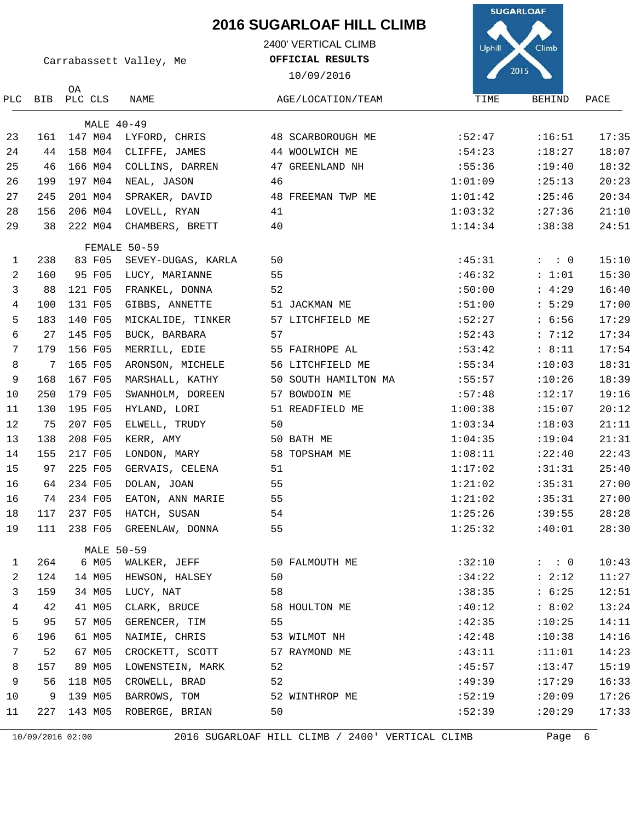2400' VERTICAL CLIMB

**OFFICIAL RESULTS**



Carrabassett Valley, Me

| $  \frac{1}{2}$ $\frac{1}{2}$ |  |  |
|-------------------------------|--|--|
|                               |  |  |
|                               |  |  |
|                               |  |  |

| PLC          | BIB | ОA<br>PLC CLS | NAME               | AGE/LOCATION/TEAM    | TIME    | BEHIND              | PACE  |
|--------------|-----|---------------|--------------------|----------------------|---------|---------------------|-------|
|              |     | MALE 40-49    |                    |                      |         |                     |       |
| 23           | 161 | 147 M04       | LYFORD, CHRIS      | 48 SCARBOROUGH ME    | :52:47  | :16:51              | 17:35 |
| 24           | 44  | 158 MO4       | CLIFFE, JAMES      | 44 WOOLWICH ME       | :54:23  | :18:27              | 18:07 |
| 25           | 46  | 166 MO4       | COLLINS, DARREN    | 47 GREENLAND NH      | :55:36  | :19:40              | 18:32 |
| 26           | 199 | 197 M04       | NEAL, JASON        | 46                   | 1:01:09 | : 25:13             | 20:23 |
| 27           | 245 | 201 M04       | SPRAKER, DAVID     | 48 FREEMAN TWP ME    | 1:01:42 | : 25:46             | 20:34 |
| 28           | 156 | 206 M04       | LOVELL, RYAN       | 41                   | 1:03:32 | : 27:36             | 21:10 |
| 29           | 38  | 222 MO4       | CHAMBERS, BRETT    | 40                   | 1:14:34 | :38:38              | 24:51 |
|              |     |               | FEMALE 50-59       |                      |         |                     |       |
| $\mathbf{1}$ | 238 | 83 F05        | SEVEY-DUGAS, KARLA | 50                   | :45:31  | $: \quad : \quad 0$ | 15:10 |
| 2            | 160 | 95 F05        | LUCY, MARIANNE     | 55                   | :46:32  | : 1:01              | 15:30 |
| 3            | 88  | 121 F05       | FRANKEL, DONNA     | 52                   | :50:00  | : 4:29              | 16:40 |
| 4            | 100 | 131 F05       | GIBBS, ANNETTE     | 51 JACKMAN ME        | :51:00  | : 5:29              | 17:00 |
| 5            | 183 | 140 F05       | MICKALIDE, TINKER  | 57 LITCHFIELD ME     | :52:27  | : 6:56              | 17:29 |
| 6            | 27  | 145 F05       | BUCK, BARBARA      | 57                   | :52:43  | : 7:12              | 17:34 |
| 7            | 179 | 156 F05       | MERRILL, EDIE      | 55 FAIRHOPE AL       | :53:42  | : 8:11              | 17:54 |
| 8            | 7   | 165 F05       | ARONSON, MICHELE   | 56 LITCHFIELD ME     | :55:34  | :10:03              | 18:31 |
| 9            | 168 | 167 F05       | MARSHALL, KATHY    | 50 SOUTH HAMILTON MA | :55:57  | :10:26              | 18:39 |
| 10           | 250 | 179 F05       | SWANHOLM, DOREEN   | 57 BOWDOIN ME        | :57:48  | :12:17              | 19:16 |
| 11           | 130 | 195 F05       | HYLAND, LORI       | 51 READFIELD ME      | 1:00:38 | :15:07              | 20:12 |
| 12           | 75  | 207 F05       | ELWELL, TRUDY      | 50                   | 1:03:34 | :18:03              | 21:11 |
| 13           | 138 | 208 F05       | KERR, AMY          | 50 BATH ME           | 1:04:35 | :19:04              | 21:31 |
| 14           | 155 | 217 F05       | LONDON, MARY       | 58 TOPSHAM ME        | 1:08:11 | :22:40              | 22:43 |
| 15           | 97  | 225 F05       | GERVAIS, CELENA    | 51                   | 1:17:02 | :31:31              | 25:40 |
| 16           | 64  | 234 F05       | DOLAN, JOAN        | 55                   | 1:21:02 | :35:31              | 27:00 |
| 16           | 74  | 234 F05       | EATON, ANN MARIE   | 55                   | 1:21:02 | :35:31              | 27:00 |
| 18           | 117 | 237 F05       | HATCH, SUSAN       | 54                   | 1:25:26 | :39:55              | 28:28 |
| 19           | 111 | 238 F05       | GREENLAW, DONNA    | 55                   | 1:25:32 | :40:01              | 28:30 |
|              |     |               | <b>MALE 50-59</b>  |                      |         |                     |       |
| 1            | 264 | 6 M05         | WALKER, JEFF       | 50 FALMOUTH ME       | :32:10  | $:$ : 0             | 10:43 |
| 2            | 124 | 14 M05        | HEWSON, HALSEY     | 50                   | :34:22  | : 2:12              | 11:27 |
| 3            | 159 | 34 M05        | LUCY, NAT          | 58                   | :38:35  | : 6:25              | 12:51 |
| 4            | 42  | 41 M05        | CLARK, BRUCE       | 58 HOULTON ME        | :40:12  | : 8:02              | 13:24 |
| 5            | 95  | 57 M05        | GERENCER, TIM      | 55                   | :42:35  | :10:25              | 14:11 |
| 6            | 196 | 61 M05        | NAIMIE, CHRIS      | 53 WILMOT NH         | :42:48  | :10:38              | 14:16 |
| 7            | 52  | 67 M05        | CROCKETT, SCOTT    | 57 RAYMOND ME        | :43:11  | :11:01              | 14:23 |
| 8            | 157 | 89 M05        | LOWENSTEIN, MARK   | 52                   | :45:57  | : 13:47             | 15:19 |
| 9            | 56  | 118 M05       | CROWELL, BRAD      | 52                   | :49:39  | :17:29              | 16:33 |
| 10           | 9   | 139 M05       | BARROWS, TOM       | 52 WINTHROP ME       | :52:19  | :20:09              | 17:26 |
| 11           | 227 | 143 M05       | ROBERGE, BRIAN     | 50                   | :52:39  | :20:29              | 17:33 |

10/09/2016 02:00 2016 SUGARLOAF HILL CLIMB / 2400' VERTICAL CLIMB Page 6